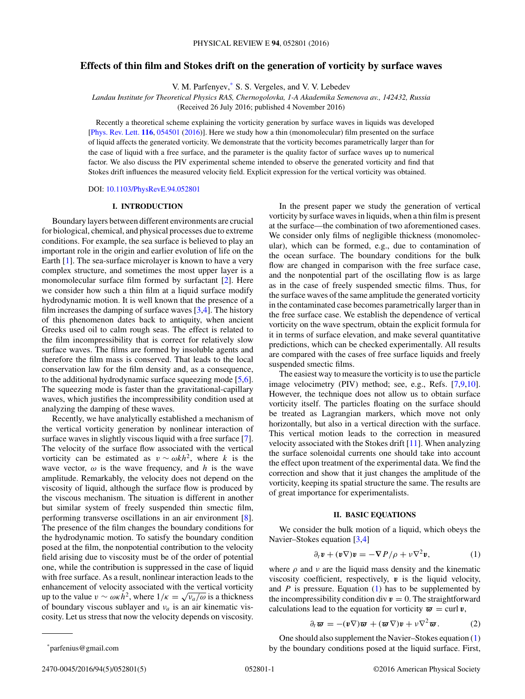# <span id="page-0-0"></span>**Effects of thin film and Stokes drift on the generation of vorticity by surface waves**

V. M. Parfenyev,\* S. S. Vergeles, and V. V. Lebedev

*Landau Institute for Theoretical Physics RAS, Chernogolovka, 1-A Akademika Semenova av., 142432, Russia*

(Received 26 July 2016; published 4 November 2016)

Recently a theoretical scheme explaining the vorticity generation by surface waves in liquids was developed [\[Phys. Rev. Lett.](https://doi.org/10.1103/PhysRevLett.116.054501) **[116](https://doi.org/10.1103/PhysRevLett.116.054501)**, [054501](https://doi.org/10.1103/PhysRevLett.116.054501) [\(2016\)](https://doi.org/10.1103/PhysRevLett.116.054501)]. Here we study how a thin (monomolecular) film presented on the surface of liquid affects the generated vorticity. We demonstrate that the vorticity becomes parametrically larger than for the case of liquid with a free surface, and the parameter is the quality factor of surface waves up to numerical factor. We also discuss the PIV experimental scheme intended to observe the generated vorticity and find that Stokes drift influences the measured velocity field. Explicit expression for the vertical vorticity was obtained.

DOI: [10.1103/PhysRevE.94.052801](https://doi.org/10.1103/PhysRevE.94.052801)

## **I. INTRODUCTION**

Boundary layers between different environments are crucial for biological, chemical, and physical processes due to extreme conditions. For example, the sea surface is believed to play an important role in the origin and earlier evolution of life on the Earth [\[1\]](#page-3-0). The sea-surface microlayer is known to have a very complex structure, and sometimes the most upper layer is a monomolecular surface film formed by surfactant [\[2\]](#page-3-0). Here we consider how such a thin film at a liquid surface modify hydrodynamic motion. It is well known that the presence of a film increases the damping of surface waves  $[3,4]$ . The history of this phenomenon dates back to antiquity, when ancient Greeks used oil to calm rough seas. The effect is related to the film incompressibility that is correct for relatively slow surface waves. The films are formed by insoluble agents and therefore the film mass is conserved. That leads to the local conservation law for the film density and, as a consequence, to the additional hydrodynamic surface squeezing mode [\[5,6\]](#page-4-0). The squeezing mode is faster than the gravitational-capillary waves, which justifies the incompressibility condition used at analyzing the damping of these waves.

Recently, we have analytically established a mechanism of the vertical vorticity generation by nonlinear interaction of surface waves in slightly viscous liquid with a free surface [\[7\]](#page-4-0). The velocity of the surface flow associated with the vertical vorticity can be estimated as  $v \sim \omega k h^2$ , where *k* is the wave vector,  $\omega$  is the wave frequency, and *h* is the wave amplitude. Remarkably, the velocity does not depend on the viscosity of liquid, although the surface flow is produced by the viscous mechanism. The situation is different in another but similar system of freely suspended thin smectic film, performing transverse oscillations in an air environment [\[8\]](#page-4-0). The presence of the film changes the boundary conditions for the hydrodynamic motion. To satisfy the boundary condition posed at the film, the nonpotential contribution to the velocity field arising due to viscosity must be of the order of potential one, while the contribution is suppressed in the case of liquid with free surface. As a result, nonlinear interaction leads to the enhancement of velocity associated with the vertical vorticity up to the value  $v \sim \omega \kappa h^2$ , where  $1/\kappa = \sqrt{v_a/\omega}$  is a thickness of boundary viscous sublayer and *νa* is an air kinematic viscosity. Let us stress that now the velocity depends on viscosity.

\*parfenius@gmail.com

In the present paper we study the generation of vertical vorticity by surface waves in liquids, when a thin film is present at the surface—the combination of two aforementioned cases. We consider only films of negligible thickness (monomolecular), which can be formed, e.g., due to contamination of the ocean surface. The boundary conditions for the bulk flow are changed in comparison with the free surface case, and the nonpotential part of the oscillating flow is as large as in the case of freely suspended smectic films. Thus, for the surface waves of the same amplitude the generated vorticity in the contaminated case becomes parametrically larger than in the free surface case. We establish the dependence of vertical vorticity on the wave spectrum, obtain the explicit formula for it in terms of surface elevation, and make several quantitative predictions, which can be checked experimentally. All results are compared with the cases of free surface liquids and freely suspended smectic films.

The easiest way to measure the vorticity is to use the particle image velocimetry (PIV) method; see, e.g., Refs. [\[7,9,10\]](#page-4-0). However, the technique does not allow us to obtain surface vorticity itself. The particles floating on the surface should be treated as Lagrangian markers, which move not only horizontally, but also in a vertical direction with the surface. This vertical motion leads to the correction in measured velocity associated with the Stokes drift [\[11\]](#page-4-0). When analyzing the surface solenoidal currents one should take into account the effect upon treatment of the experimental data. We find the correction and show that it just changes the amplitude of the vorticity, keeping its spatial structure the same. The results are of great importance for experimentalists.

#### **II. BASIC EQUATIONS**

We consider the bulk motion of a liquid, which obeys the Navier–Stokes equation [\[3,4\]](#page-3-0)

$$
\partial_t \mathbf{v} + (\mathbf{v} \nabla) \mathbf{v} = -\nabla P/\rho + \nu \nabla^2 \mathbf{v}, \qquad (1)
$$

where  $\rho$  and  $\nu$  are the liquid mass density and the kinematic viscosity coefficient, respectively, *v* is the liquid velocity, and *P* is pressure. Equation (1) has to be supplemented by the incompressibility condition div  $v = 0$ . The straightforward calculations lead to the equation for vorticity  $\boldsymbol{\varpi} = \text{curl } \boldsymbol{v}$ ,

$$
\partial_t \varpi = -(\boldsymbol{v} \nabla) \varpi + (\varpi \nabla) \boldsymbol{v} + \nu \nabla^2 \varpi. \tag{2}
$$

One should also supplement the Navier–Stokes equation (1) by the boundary conditions posed at the liquid surface. First,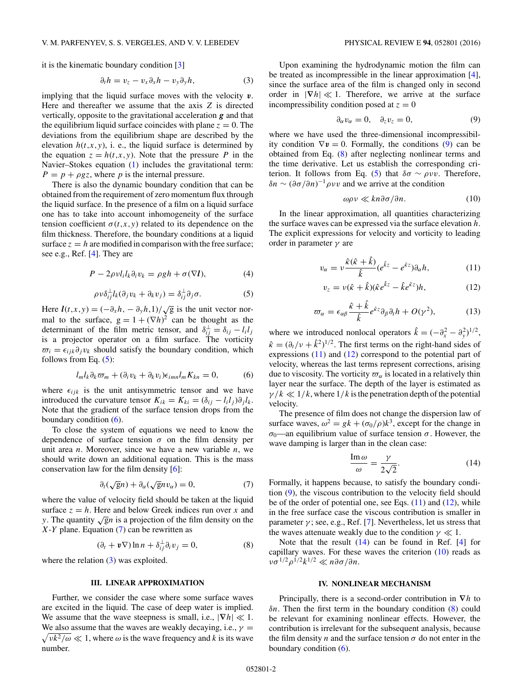<span id="page-1-0"></span>it is the kinematic boundary condition [\[3\]](#page-3-0)

$$
\partial_t h = v_z - v_x \partial_x h - v_y \partial_y h, \tag{3}
$$

implying that the liquid surface moves with the velocity *v*. Here and thereafter we assume that the axis *Z* is directed vertically, opposite to the gravitational acceleration *g* and that the equilibrium liquid surface coincides with plane  $z = 0$ . The deviations from the equilibrium shape are described by the elevation  $h(t, x, y)$ , i. e., the liquid surface is determined by the equation  $z = h(t, x, y)$ . Note that the pressure *P* in the Navier–Stokes equation [\(1\)](#page-0-0) includes the gravitational term:  $P = p + \rho gz$ , where *p* is the internal pressure.

There is also the dynamic boundary condition that can be obtained from the requirement of zero momentum flux through the liquid surface. In the presence of a film on a liquid surface one has to take into account inhomogeneity of the surface tension coefficient  $\sigma(t,x,y)$  related to its dependence on the film thickness. Therefore, the boundary conditions at a liquid surface  $z = h$  are modified in comparison with the free surface; see e.g., Ref. [\[4\]](#page-3-0). They are

$$
P - 2\rho v l_i l_k \partial_i v_k = \rho g h + \sigma (\nabla l), \qquad (4)
$$

$$
\rho v \delta_{ij}^{\perp} l_k(\partial_j v_k + \partial_k v_j) = \delta_{ij}^{\perp} \partial_j \sigma. \tag{5}
$$

Here  $l(t, x, y) = \frac{-\partial_x h}{-\partial_y h}$ ,  $\frac{1}{\sqrt{g}}$  is the unit vector normal to the surface,  $g = 1 + (\nabla h)^2$  can be thought as the determinant of the film metric tensor, and  $\delta_{i\bar{j}}^{\perp} = \delta_{ij} - l_i l_j$ is a projector operator on a film surface. The vorticity  $\overline{\omega_i} = \epsilon_{ijk}\partial_j v_k$  should satisfy the boundary condition, which follows from Eq. (5):

$$
l_m l_k \partial_k \varpi_m + (\partial_i v_k + \partial_k v_i) \epsilon_{imn} l_m K_{kn} = 0, \qquad (6)
$$

where  $\epsilon_{ijk}$  is the unit antisymmetric tensor and we have introduced the curvature tensor  $K_{ik} = K_{ki} = (\delta_{ij} - l_i l_j) \partial_j l_k$ . Note that the gradient of the surface tension drops from the boundary condition (6).

To close the system of equations we need to know the dependence of surface tension  $\sigma$  on the film density per unit area *n*. Moreover, since we have a new variable *n*, we should write down an additional equation. This is the mass conservation law for the film density [\[6\]](#page-4-0):

$$
\partial_t(\sqrt{g}n) + \partial_\alpha(\sqrt{g}nv_\alpha) = 0, \tag{7}
$$

where the value of velocity field should be taken at the liquid surface  $z = h$ . Here and below Greek indices run over x and *y*. The quantity  $\sqrt{g}n$  is a projection of the film density on the *X*-*Y* plane. Equation (7) can be rewritten as

$$
(\partial_t + \boldsymbol{v} \nabla) \ln n + \delta_{ij}^{\perp} \partial_i v_j = 0, \tag{8}
$$

where the relation  $(3)$  was exploited.

## **III. LINEAR APPROXIMATION**

Further, we consider the case where some surface waves are excited in the liquid. The case of deep water is implied. We assume that the wave steepness is small, i.e.,  $|\nabla h| \ll 1$ . We also assume that the waves are weakly decaying, i.e.,  $\gamma =$  $\sqrt{vk^2/\omega} \ll 1$ , where  $\omega$  is the wave frequency and *k* is its wave number.

Upon examining the hydrodynamic motion the film can be treated as incompressible in the linear approximation [\[4\]](#page-3-0), since the surface area of the film is changed only in second order in  $|\nabla h| \ll 1$ . Therefore, we arrive at the surface incompressibility condition posed at  $z = 0$ 

$$
\partial_{\alpha}v_{\alpha}=0, \quad \partial_{z}v_{z}=0, \tag{9}
$$

where we have used the three-dimensional incompressibility condition  $\nabla v = 0$ . Formally, the conditions (9) can be obtained from Eq. (8) after neglecting nonlinear terms and the time derivative. Let us establish the corresponding criterion. It follows from Eq. (5) that  $\delta\sigma \sim \rho \nu \nu$ . Therefore,  $\delta n \sim (\partial \sigma / \partial n)^{-1} \rho \nu \nu$  and we arrive at the condition

$$
\omega \rho \nu \ll k n \partial \sigma / \partial n. \tag{10}
$$

In the linear approximation, all quantities characterizing the surface waves can be expressed via the surface elevation *h*. The explicit expressions for velocity and vorticity to leading order in parameter *γ* are

$$
v_{\alpha} = v \frac{\hat{\kappa}(\hat{\kappa} + \hat{k})}{\hat{k}} (e^{\hat{k}z} - e^{\hat{\kappa}z}) \partial_{\alpha} h, \tag{11}
$$

$$
v_z = v(\hat{\kappa} + \hat{k})(\hat{\kappa}e^{\hat{k}z} - \hat{k}e^{\hat{k}z})h, \tag{12}
$$

$$
\varpi_{\alpha} = \epsilon_{\alpha\beta} \frac{\hat{\kappa} + \hat{k}}{\hat{k}} e^{\hat{\kappa}z} \partial_{\beta} \partial_{t} h + O(\gamma^{2}), \tag{13}
$$

where we introduced nonlocal operators  $\hat{k} = (-\partial_x^2 - \partial_y^2)^{1/2}$ ,  $\hat{\kappa} = (\partial_t / v + \hat{k}^2)^{1/2}$ . The first terms on the right-hand sides of expressions  $(11)$  and  $(12)$  correspond to the potential part of velocity, whereas the last terms represent corrections, arising due to viscosity. The vorticity  $\varpi_{\alpha}$  is located in a relatively thin layer near the surface. The depth of the layer is estimated as  $\gamma/k \ll 1/k$ , where  $1/k$  is the penetration depth of the potential velocity.

The presence of film does not change the dispersion law of surface waves,  $\omega^2 = g k + (\sigma_0/\rho)k^3$ , except for the change in  $\sigma_0$ —an equilibrium value of surface tension  $\sigma$ . However, the wave damping is larger than in the clean case:

$$
\frac{\operatorname{Im}\omega}{\omega} = \frac{\gamma}{2\sqrt{2}}.\tag{14}
$$

Formally, it happens because, to satisfy the boundary condition (9), the viscous contribution to the velocity field should be of the order of potential one, see Eqs.  $(11)$  and  $(12)$ , while in the free surface case the viscous contribution is smaller in parameter  $\gamma$ ; see, e.g., Ref. [\[7\]](#page-4-0). Nevertheless, let us stress that the waves attenuate weakly due to the condition  $\gamma \ll 1$ .

Note that the result  $(14)$  can be found in Ref. [\[4\]](#page-3-0) for capillary waves. For these waves the criterion  $(10)$  reads as *νσ*<sup>1</sup>*/*<sup>2</sup>*ρ*<sup>1</sup>*/*<sup>2</sup>*k*<sup>1</sup>*/*<sup>2</sup> *n∂σ/∂n*.

#### **IV. NONLINEAR MECHANISM**

Principally, there is a second-order contribution in **∇***h* to *δn*. Then the first term in the boundary condition (8) could be relevant for examining nonlinear effects. However, the contribution is irrelevant for the subsequent analysis, because the film density *n* and the surface tension  $\sigma$  do not enter in the boundary condition  $(6)$ .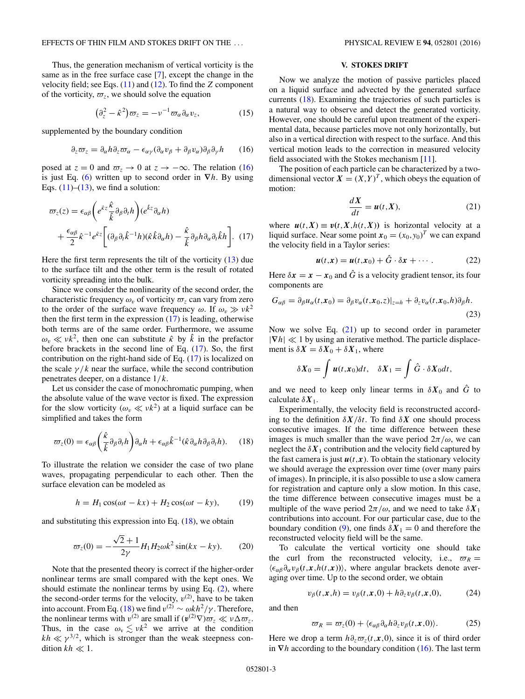<span id="page-2-0"></span>Thus, the generation mechanism of vertical vorticity is the same as in the free surface case [\[7\]](#page-4-0), except the change in the velocity field; see Eqs. [\(11\)](#page-1-0) and [\(12\)](#page-1-0). To find the *Z* component of the vorticity,  $\varpi_z$ , we should solve the equation

$$
\left(\partial_z^2 - \hat{\kappa}^2\right)\varpi_z = -\nu^{-1}\varpi_\alpha\partial_\alpha v_z,\tag{15}
$$

supplemented by the boundary condition

$$
\partial_z \varpi_z = \partial_\alpha h \partial_z \varpi_\alpha - \epsilon_{\alpha\gamma} (\partial_\alpha v_\beta + \partial_\beta v_\alpha) \partial_\beta \partial_\gamma h \qquad (16)
$$

posed at  $z = 0$  and  $\overline{\omega}_z \rightarrow 0$  at  $z \rightarrow -\infty$ . The relation (16) is just Eq. [\(6\)](#page-1-0) written up to second order in **∇***h*. By using Eqs.  $(11)$ – $(13)$ , we find a solution:

$$
\varpi_{z}(z) = \epsilon_{\alpha\beta} \left( e^{\hat{k}z} \frac{\hat{k}}{\hat{k}} \partial_{\beta} \partial_{t} h \right) (e^{\hat{k}z} \partial_{\alpha} h) \n+ \frac{\epsilon_{\alpha\beta}}{2} \hat{\kappa}^{-1} e^{\hat{k}z} \left[ (\partial_{\beta} \partial_{t} \hat{k}^{-1} h)(\hat{k} \hat{k} \partial_{\alpha} h) - \frac{\hat{k}}{\hat{k}} \partial_{\beta} h \partial_{\alpha} \partial_{t} \hat{k} h \right].
$$
 (17)

Here the first term represents the tilt of the vorticity [\(13\)](#page-1-0) due to the surface tilt and the other term is the result of rotated vorticity spreading into the bulk.

Since we consider the nonlinearity of the second order, the characteristic frequency  $\omega_v$  of vorticity  $\overline{\omega_z}$  can vary from zero to the order of the surface wave frequency  $\omega$ . If  $\omega_v \gg v k^2$ then the first term in the expression  $(17)$  is leading, otherwise both terms are of the same order. Furthermore, we assume  $\omega_v \ll v k^2$ , then one can substitute  $\hat{\kappa}$  by  $\hat{k}$  in the prefactor before brackets in the second line of Eq. (17). So, the first contribution on the right-hand side of Eq. (17) is localized on the scale  $\gamma/k$  near the surface, while the second contribution penetrates deeper, on a distance 1*/k*.

Let us consider the case of monochromatic pumping, when the absolute value of the wave vector is fixed. The expression for the slow vorticity  $(\omega_v \ll v k^2)$  at a liquid surface can be simplified and takes the form

$$
\varpi_z(0) = \epsilon_{\alpha\beta} \left( \frac{\hat{\kappa}}{\hat{k}} \partial_\beta \partial_r h \right) \partial_\alpha h + \epsilon_{\alpha\beta} \hat{k}^{-1} (\hat{\kappa} \partial_\alpha h \partial_\beta \partial_r h). \tag{18}
$$

To illustrate the relation we consider the case of two plane waves, propagating perpendicular to each other. Then the surface elevation can be modeled as

$$
h = H_1 \cos(\omega t - kx) + H_2 \cos(\omega t - ky), \qquad (19)
$$

and substituting this expression into Eq.  $(18)$ , we obtain

$$
\varpi_z(0) = -\frac{\sqrt{2} + 1}{2\gamma} H_1 H_2 \omega k^2 \sin(kx - ky). \tag{20}
$$

Note that the presented theory is correct if the higher-order nonlinear terms are small compared with the kept ones. We should estimate the nonlinear terms by using Eq. [\(2\)](#page-0-0), where the second-order terms for the velocity,  $v^{(2)}$ , have to be taken into account. From Eq. (18) we find  $v^{(2)} \sim \omega k h^2 / \gamma$ . Therefore, the nonlinear terms with  $v^{(2)}$  are small if  $(v^{(2)}\nabla)\varpi_z \ll v\Delta\varpi_z$ . Thus, in the case  $\omega_{\rm v} \lesssim v k^2$  we arrive at the condition  $kh \ll \gamma^{3/2}$ , which is stronger than the weak steepness condition  $kh \ll 1$ .

#### **V. STOKES DRIFT**

Now we analyze the motion of passive particles placed on a liquid surface and advected by the generated surface currents (18). Examining the trajectories of such particles is a natural way to observe and detect the generated vorticity. However, one should be careful upon treatment of the experimental data, because particles move not only horizontally, but also in a vertical direction with respect to the surface. And this vertical motion leads to the correction in measured velocity field associated with the Stokes mechanism [\[11\]](#page-4-0).

The position of each particle can be characterized by a twodimensional vector  $X = (X, Y)^T$ , which obeys the equation of motion:

$$
\frac{dX}{dt} = u(t, X),\tag{21}
$$

where  $u(t, X) \equiv v(t, X, h(t, X))$  is horizontal velocity at a liquid surface. Near some point  $x_0 = (x_0, y_0)^T$  we can expand the velocity field in a Taylor series:

$$
\mathbf{u}(t,\mathbf{x}) = \mathbf{u}(t,\mathbf{x}_0) + \hat{G} \cdot \delta \mathbf{x} + \cdots
$$
 (22)

Here  $\delta x = x - x_0$  and  $\hat{G}$  is a velocity gradient tensor, its four components are

$$
G_{\alpha\beta} = \partial_{\beta} u_{\alpha}(t, x_0) = \partial_{\beta} v_{\alpha}(t, x_0, z)|_{z=h} + \partial_z v_{\alpha}(t, x_0, h)\partial_{\beta}h.
$$
\n(23)

Now we solve Eq.  $(21)$  up to second order in parameter  $|\nabla h| \ll 1$  by using an iterative method. The particle displacement is  $\delta X = \delta X_0 + \delta X_1$ , where

$$
\delta X_0 = \int u(t,x_0)dt, \quad \delta X_1 = \int \hat{G} \cdot \delta X_0 dt,
$$

and we need to keep only linear terms in  $\delta X_0$  and  $\hat{G}$  to calculate  $\delta X_1$ .

Experimentally, the velocity field is reconstructed according to the definition  $\delta X/\delta t$ . To find  $\delta X$  one should process consecutive images. If the time difference between these images is much smaller than the wave period  $2\pi/\omega$ , we can neglect the  $\delta X_1$  contribution and the velocity field captured by the fast camera is just  $u(t, x)$ . To obtain the stationary velocity we should average the expression over time (over many pairs of images). In principle, it is also possible to use a slow camera for registration and capture only a slow motion. In this case, the time difference between consecutive images must be a multiple of the wave period  $2\pi/\omega$ , and we need to take  $\delta X_1$ contributions into account. For our particular case, due to the boundary condition [\(9\)](#page-1-0), one finds  $\delta X_1 = 0$  and therefore the reconstructed velocity field will be the same.

To calculate the vertical vorticity one should take the curl from the reconstructed velocity, i.e.,  $\overline{\omega}_R =$  $\langle \epsilon_{\alpha\beta} \partial_{\alpha} v_{\beta}(t, x, h(t, x)) \rangle$ , where angular brackets denote averaging over time. Up to the second order, we obtain

$$
v_{\beta}(t, x, h) = v_{\beta}(t, x, 0) + h \partial_z v_{\beta}(t, x, 0), \tag{24}
$$

and then

$$
\varpi_R = \varpi_z(0) + \langle \epsilon_{\alpha\beta} \partial_\alpha h \partial_z v_\beta(t, x, 0) \rangle. \tag{25}
$$

Here we drop a term  $h\partial_z\varpi_z(t, x, 0)$ , since it is of third order in **∇***h* according to the boundary condition (16). The last term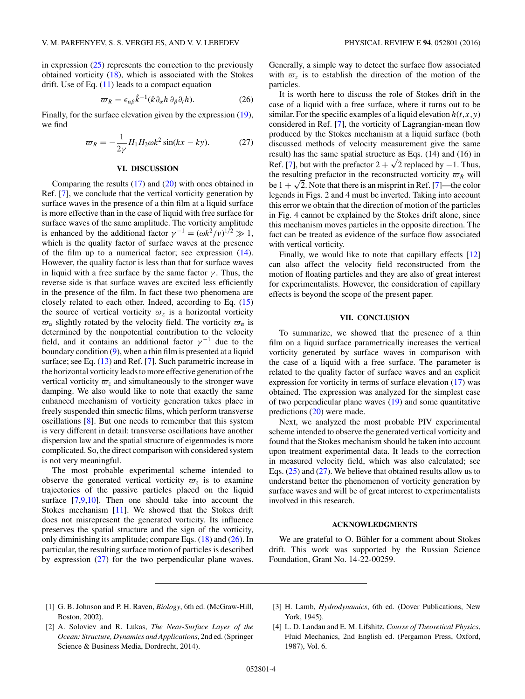<span id="page-3-0"></span>in expression  $(25)$  represents the correction to the previously obtained vorticity  $(18)$ , which is associated with the Stokes drift. Use of Eq.  $(11)$  leads to a compact equation

$$
\varpi_R = \epsilon_{\alpha\beta} \hat{k}^{-1} (\hat{\kappa} \partial_\alpha h \partial_\beta \partial_t h). \tag{26}
$$

Finally, for the surface elevation given by the expression [\(19\)](#page-2-0), we find

$$
\varpi_R = -\frac{1}{2\gamma} H_1 H_2 \omega k^2 \sin(kx - ky). \tag{27}
$$

#### **VI. DISCUSSION**

Comparing the results [\(17\)](#page-2-0) and [\(20\)](#page-2-0) with ones obtained in Ref. [\[7\]](#page-4-0), we conclude that the vertical vorticity generation by surface waves in the presence of a thin film at a liquid surface is more effective than in the case of liquid with free surface for surface waves of the same amplitude. The vorticity amplitude is enhanced by the additional factor  $\gamma^{-1} = (\omega k^2 / v)^{1/2} \gg 1$ , which is the quality factor of surface waves at the presence of the film up to a numerical factor; see expression [\(14\)](#page-1-0). However, the quality factor is less than that for surface waves in liquid with a free surface by the same factor  $\gamma$ . Thus, the reverse side is that surface waves are excited less efficiently in the presence of the film. In fact these two phenomena are closely related to each other. Indeed, according to Eq. [\(15\)](#page-2-0) the source of vertical vorticity  $\overline{\omega}_z$  is a horizontal vorticity  $\overline{\omega}_{\alpha}$  slightly rotated by the velocity field. The vorticity  $\overline{\omega}_{\alpha}$  is determined by the nonpotential contribution to the velocity field, and it contains an additional factor  $\gamma^{-1}$  due to the boundary condition [\(9\)](#page-1-0), when a thin film is presented at a liquid surface; see Eq. [\(13\)](#page-1-0) and Ref. [\[7\]](#page-4-0). Such parametric increase in the horizontal vorticity leads to more effective generation of the vertical vorticity  $\varpi$ <sub>z</sub> and simultaneously to the stronger wave damping. We also would like to note that exactly the same enhanced mechanism of vorticity generation takes place in freely suspended thin smectic films, which perform transverse oscillations [\[8\]](#page-4-0). But one needs to remember that this system is very different in detail: transverse oscillations have another dispersion law and the spatial structure of eigenmodes is more complicated. So, the direct comparison with considered system is not very meaningful.

The most probable experimental scheme intended to observe the generated vertical vorticity  $\varpi$ , is to examine trajectories of the passive particles placed on the liquid surface [\[7,9,10\]](#page-4-0). Then one should take into account the Stokes mechanism [\[11\]](#page-4-0). We showed that the Stokes drift does not misrepresent the generated vorticity. Its influence preserves the spatial structure and the sign of the vorticity, only diminishing its amplitude; compare Eqs. [\(18\)](#page-2-0) and (26). In particular, the resulting surface motion of particles is described by expression (27) for the two perpendicular plane waves.

Generally, a simple way to detect the surface flow associated with  $\overline{\omega}_z$  is to establish the direction of the motion of the particles.

It is worth here to discuss the role of Stokes drift in the case of a liquid with a free surface, where it turns out to be similar. For the specific examples of a liquid elevation  $h(t, x, y)$ considered in Ref. [\[7\]](#page-4-0), the vorticity of Lagrangian-mean flow produced by the Stokes mechanism at a liquid surface (both discussed methods of velocity measurement give the same result) has the same spatial structure as Eqs. (14) and (16) in Ref. [\[7\]](#page-4-0), but with the prefactor  $2 + \sqrt{2}$  replaced by −1. Thus, the resulting prefactor in the reconstructed vorticity  $\varpi_R$  will be  $1 + \sqrt{2}$ . Note that there is an misprint in Ref. [\[7\]](#page-4-0)—the color legends in Figs. 2 and 4 must be inverted. Taking into account this error we obtain that the direction of motion of the particles in Fig. 4 cannot be explained by the Stokes drift alone, since this mechanism moves particles in the opposite direction. The fact can be treated as evidence of the surface flow associated with vertical vorticity.

Finally, we would like to note that capillary effects [\[12\]](#page-4-0) can also affect the velocity field reconstructed from the motion of floating particles and they are also of great interest for experimentalists. However, the consideration of capillary effects is beyond the scope of the present paper.

#### **VII. CONCLUSION**

To summarize, we showed that the presence of a thin film on a liquid surface parametrically increases the vertical vorticity generated by surface waves in comparison with the case of a liquid with a free surface. The parameter is related to the quality factor of surface waves and an explicit expression for vorticity in terms of surface elevation [\(17\)](#page-2-0) was obtained. The expression was analyzed for the simplest case of two perpendicular plane waves [\(19\)](#page-2-0) and some quantitative predictions [\(20\)](#page-2-0) were made.

Next, we analyzed the most probable PIV experimental scheme intended to observe the generated vertical vorticity and found that the Stokes mechanism should be taken into account upon treatment experimental data. It leads to the correction in measured velocity field, which was also calculated; see Eqs. [\(25\)](#page-2-0) and (27). We believe that obtained results allow us to understand better the phenomenon of vorticity generation by surface waves and will be of great interest to experimentalists involved in this research.

#### **ACKNOWLEDGMENTS**

We are grateful to O. Bühler for a comment about Stokes drift. This work was supported by the Russian Science Foundation, Grant No. 14-22-00259.

- [1] G. B. Johnson and P. H. Raven, *Biology*, 6th ed. (McGraw-Hill, Boston, 2002).
- [3] H. Lamb, *Hydrodynamics*, 6th ed. (Dover Publications, New York, 1945).
- [2] A. Soloviev and R. Lukas, *The Near-Surface Layer of the Ocean: Structure, Dynamics and Applications*, 2nd ed. (Springer Science & Business Media, Dordrecht, 2014).
- [4] L. D. Landau and E. M. Lifshitz, *Course of Theoretical Physics*, Fluid Mechanics, 2nd English ed. (Pergamon Press, Oxford, 1987), Vol. 6.